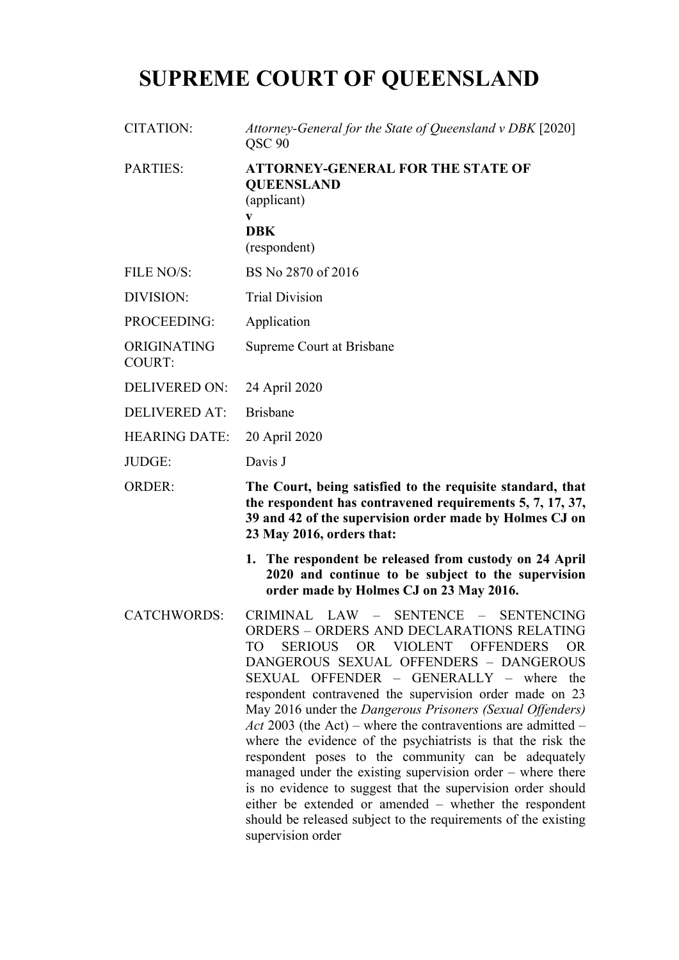# **SUPREME COURT OF QUEENSLAND**

CITATION: *Attorney-General for the State of Queensland v DBK* [2020] QSC 90

PARTIES: **ATTORNEY-GENERAL FOR THE STATE OF QUEENSLAND** (applicant)

#### **v DBK**

(respondent)

- FILE NO/S: BS No 2870 of 2016
- DIVISION: Trial Division
- PROCEEDING: Application
- ORIGINATING Supreme Court at Brisbane
- COURT:
- DELIVERED ON: 24 April 2020
- DELIVERED AT: Brisbane
- HEARING DATE: 20 April 2020
- JUDGE: Davis J

ORDER: **The Court, being satisfied to the requisite standard, that the respondent has contravened requirements 5, 7, 17, 37, 39 and 42 of the supervision order made by Holmes CJ on 23 May 2016, orders that:**

- **1. The respondent be released from custody on 24 April 2020 and continue to be subject to the supervision order made by Holmes CJ on 23 May 2016.**
- CATCHWORDS: CRIMINAL LAW SENTENCE SENTENCING ORDERS – ORDERS AND DECLARATIONS RELATING TO SERIOUS OR VIOLENT OFFENDERS OR DANGEROUS SEXUAL OFFENDERS – DANGEROUS SEXUAL OFFENDER – GENERALLY – where the respondent contravened the supervision order made on 23 May 2016 under the *Dangerous Prisoners (Sexual Offenders) Act* 2003 (the Act) – where the contraventions are admitted – where the evidence of the psychiatrists is that the risk the respondent poses to the community can be adequately managed under the existing supervision order – where there is no evidence to suggest that the supervision order should either be extended or amended – whether the respondent should be released subject to the requirements of the existing supervision order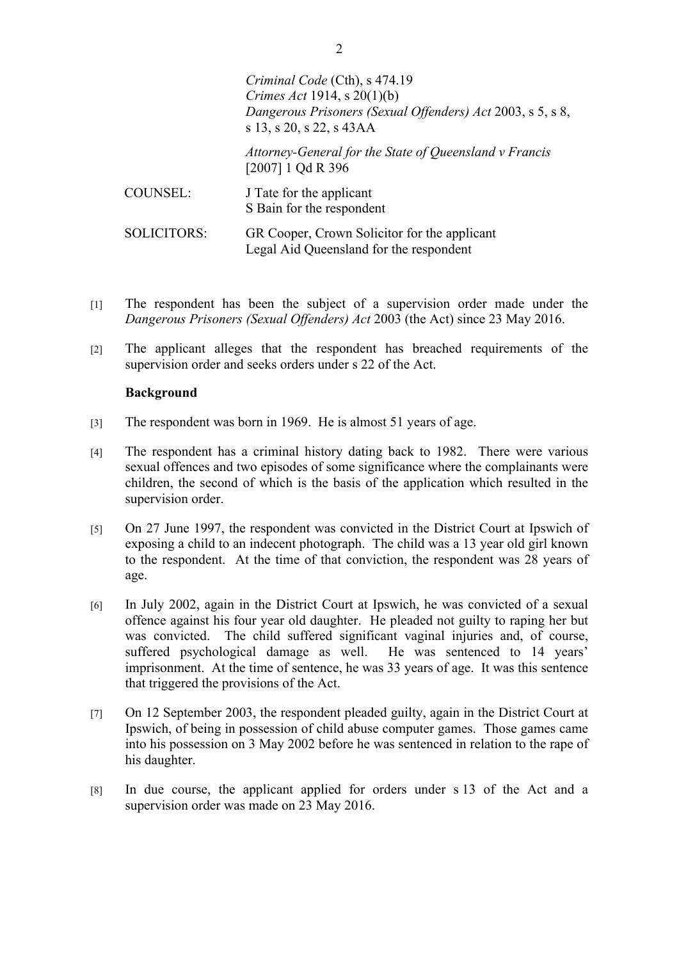|                    | Criminal Code (Cth), s 474.19<br>Crimes Act 1914, s $20(1)(b)$<br>Dangerous Prisoners (Sexual Offenders) Act 2003, s 5, s 8,<br>s 13, s 20, s 22, s 43AA |
|--------------------|----------------------------------------------------------------------------------------------------------------------------------------------------------|
|                    | Attorney-General for the State of Queensland v Francis<br>$[2007]$ 1 Qd R 396                                                                            |
| <b>COUNSEL:</b>    | J Tate for the applicant<br>S Bain for the respondent                                                                                                    |
| <b>SOLICITORS:</b> | GR Cooper, Crown Solicitor for the applicant<br>Legal Aid Queensland for the respondent                                                                  |

- [1] The respondent has been the subject of a supervision order made under the *Dangerous Prisoners (Sexual Offenders) Act* 2003 (the Act) since 23 May 2016.
- [2] The applicant alleges that the respondent has breached requirements of the supervision order and seeks orders under s 22 of the Act.

### **Background**

- [3] The respondent was born in 1969. He is almost 51 years of age.
- [4] The respondent has a criminal history dating back to 1982. There were various sexual offences and two episodes of some significance where the complainants were children, the second of which is the basis of the application which resulted in the supervision order.
- [5] On 27 June 1997, the respondent was convicted in the District Court at Ipswich of exposing a child to an indecent photograph. The child was a 13 year old girl known to the respondent. At the time of that conviction, the respondent was 28 years of age.
- [6] In July 2002, again in the District Court at Ipswich, he was convicted of a sexual offence against his four year old daughter. He pleaded not guilty to raping her but was convicted. The child suffered significant vaginal injuries and, of course, suffered psychological damage as well. He was sentenced to 14 years' imprisonment. At the time of sentence, he was 33 years of age. It was this sentence that triggered the provisions of the Act.
- [7] On 12 September 2003, the respondent pleaded guilty, again in the District Court at Ipswich, of being in possession of child abuse computer games. Those games came into his possession on 3 May 2002 before he was sentenced in relation to the rape of his daughter.
- [8] In due course, the applicant applied for orders under s 13 of the Act and a supervision order was made on 23 May 2016.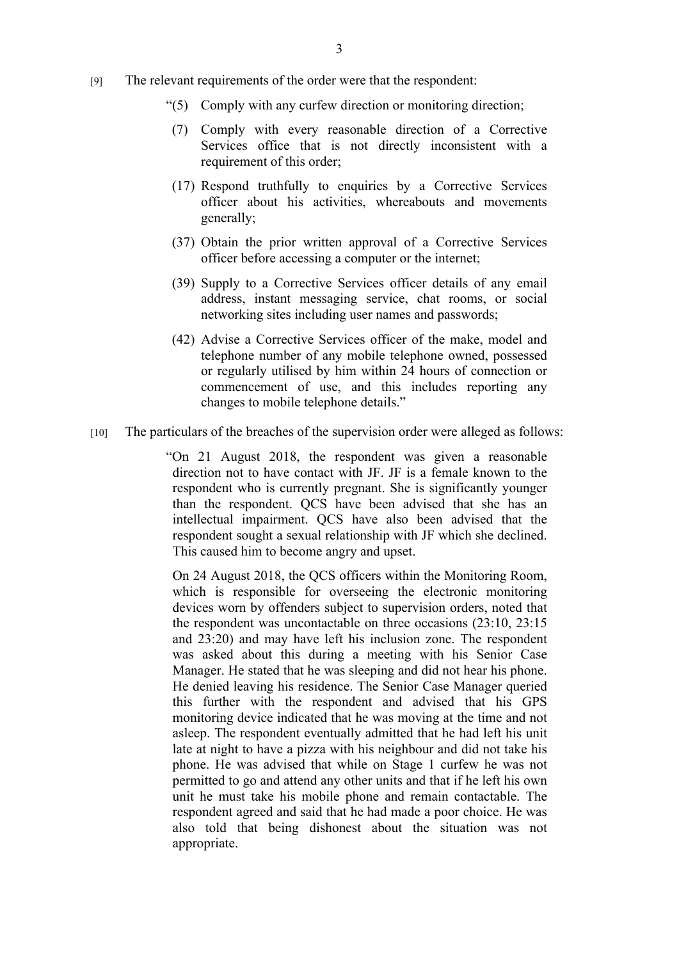- [9] The relevant requirements of the order were that the respondent:
	- "(5) Comply with any curfew direction or monitoring direction;
	- (7) Comply with every reasonable direction of a Corrective Services office that is not directly inconsistent with a requirement of this order;
	- (17) Respond truthfully to enquiries by a Corrective Services officer about his activities, whereabouts and movements generally;
	- (37) Obtain the prior written approval of a Corrective Services officer before accessing a computer or the internet;
	- (39) Supply to a Corrective Services officer details of any email address, instant messaging service, chat rooms, or social networking sites including user names and passwords;
	- (42) Advise a Corrective Services officer of the make, model and telephone number of any mobile telephone owned, possessed or regularly utilised by him within 24 hours of connection or commencement of use, and this includes reporting any changes to mobile telephone details."
- [10] The particulars of the breaches of the supervision order were alleged as follows:

"On 21 August 2018, the respondent was given a reasonable direction not to have contact with JF. JF is a female known to the respondent who is currently pregnant. She is significantly younger than the respondent. QCS have been advised that she has an intellectual impairment. QCS have also been advised that the respondent sought a sexual relationship with JF which she declined. This caused him to become angry and upset.

On 24 August 2018, the QCS officers within the Monitoring Room, which is responsible for overseeing the electronic monitoring devices worn by offenders subject to supervision orders, noted that the respondent was uncontactable on three occasions (23:10, 23:15 and 23:20) and may have left his inclusion zone. The respondent was asked about this during a meeting with his Senior Case Manager. He stated that he was sleeping and did not hear his phone. He denied leaving his residence. The Senior Case Manager queried this further with the respondent and advised that his GPS monitoring device indicated that he was moving at the time and not asleep. The respondent eventually admitted that he had left his unit late at night to have a pizza with his neighbour and did not take his phone. He was advised that while on Stage 1 curfew he was not permitted to go and attend any other units and that if he left his own unit he must take his mobile phone and remain contactable. The respondent agreed and said that he had made a poor choice. He was also told that being dishonest about the situation was not appropriate.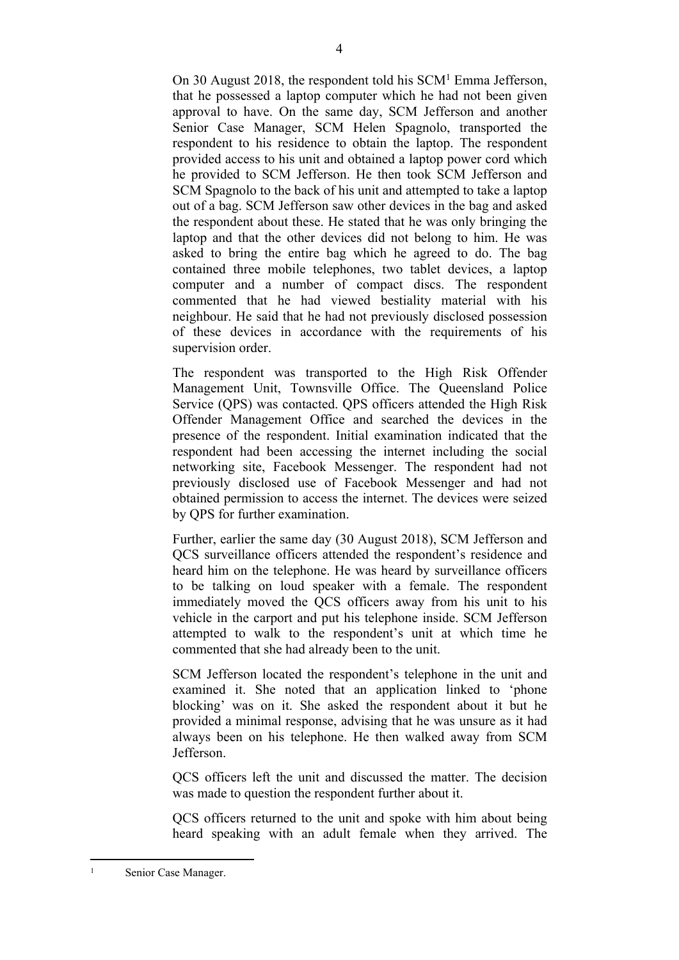On 30 August 2018, the respondent told his SCM<sup>1</sup> Emma Jefferson, that he possessed a laptop computer which he had not been given approval to have. On the same day, SCM Jefferson and another Senior Case Manager, SCM Helen Spagnolo, transported the respondent to his residence to obtain the laptop. The respondent provided access to his unit and obtained a laptop power cord which he provided to SCM Jefferson. He then took SCM Jefferson and SCM Spagnolo to the back of his unit and attempted to take a laptop out of a bag. SCM Jefferson saw other devices in the bag and asked the respondent about these. He stated that he was only bringing the laptop and that the other devices did not belong to him. He was asked to bring the entire bag which he agreed to do. The bag contained three mobile telephones, two tablet devices, a laptop computer and a number of compact discs. The respondent commented that he had viewed bestiality material with his neighbour. He said that he had not previously disclosed possession of these devices in accordance with the requirements of his supervision order.

The respondent was transported to the High Risk Offender Management Unit, Townsville Office. The Queensland Police Service (QPS) was contacted. QPS officers attended the High Risk Offender Management Office and searched the devices in the presence of the respondent. Initial examination indicated that the respondent had been accessing the internet including the social networking site, Facebook Messenger. The respondent had not previously disclosed use of Facebook Messenger and had not obtained permission to access the internet. The devices were seized by QPS for further examination.

Further, earlier the same day (30 August 2018), SCM Jefferson and QCS surveillance officers attended the respondent's residence and heard him on the telephone. He was heard by surveillance officers to be talking on loud speaker with a female. The respondent immediately moved the QCS officers away from his unit to his vehicle in the carport and put his telephone inside. SCM Jefferson attempted to walk to the respondent's unit at which time he commented that she had already been to the unit.

SCM Jefferson located the respondent's telephone in the unit and examined it. She noted that an application linked to 'phone blocking' was on it. She asked the respondent about it but he provided a minimal response, advising that he was unsure as it had always been on his telephone. He then walked away from SCM Jefferson.

QCS officers left the unit and discussed the matter. The decision was made to question the respondent further about it.

QCS officers returned to the unit and spoke with him about being heard speaking with an adult female when they arrived. The

<sup>1</sup> Senior Case Manager.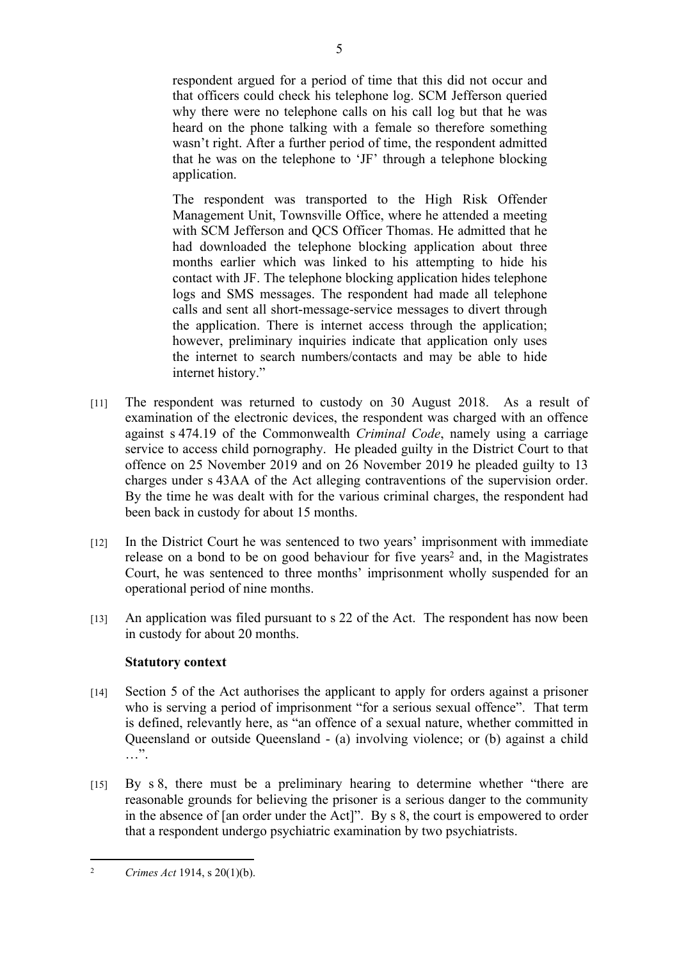respondent argued for a period of time that this did not occur and that officers could check his telephone log. SCM Jefferson queried why there were no telephone calls on his call log but that he was heard on the phone talking with a female so therefore something wasn't right. After a further period of time, the respondent admitted that he was on the telephone to 'JF' through a telephone blocking application.

The respondent was transported to the High Risk Offender Management Unit, Townsville Office, where he attended a meeting with SCM Jefferson and QCS Officer Thomas. He admitted that he had downloaded the telephone blocking application about three months earlier which was linked to his attempting to hide his contact with JF. The telephone blocking application hides telephone logs and SMS messages. The respondent had made all telephone calls and sent all short-message-service messages to divert through the application. There is internet access through the application; however, preliminary inquiries indicate that application only uses the internet to search numbers/contacts and may be able to hide internet history."

- [11] The respondent was returned to custody on 30 August 2018. As a result of examination of the electronic devices, the respondent was charged with an offence against s 474.19 of the Commonwealth *Criminal Code*, namely using a carriage service to access child pornography. He pleaded guilty in the District Court to that offence on 25 November 2019 and on 26 November 2019 he pleaded guilty to 13 charges under s 43AA of the Act alleging contraventions of the supervision order. By the time he was dealt with for the various criminal charges, the respondent had been back in custody for about 15 months.
- [12] In the District Court he was sentenced to two years' imprisonment with immediate release on a bond to be on good behaviour for five years<sup>2</sup> and, in the Magistrates Court, he was sentenced to three months' imprisonment wholly suspended for an operational period of nine months.
- $\mu$  An application was filed pursuant to s 22 of the Act. The respondent has now been in custody for about 20 months.

# **Statutory context**

- [14] Section 5 of the Act authorises the applicant to apply for orders against a prisoner who is serving a period of imprisonment "for a serious sexual offence". That term is defined, relevantly here, as "an offence of a sexual nature, whether committed in Queensland or outside Queensland - (a) involving violence; or (b) against a child  $\cdots$  .
- [15] By s 8, there must be a preliminary hearing to determine whether "there are reasonable grounds for believing the prisoner is a serious danger to the community in the absence of [an order under the Act]". By s 8, the court is empowered to order that a respondent undergo psychiatric examination by two psychiatrists.

5

<sup>2</sup> *Crimes Act* 1914, s 20(1)(b).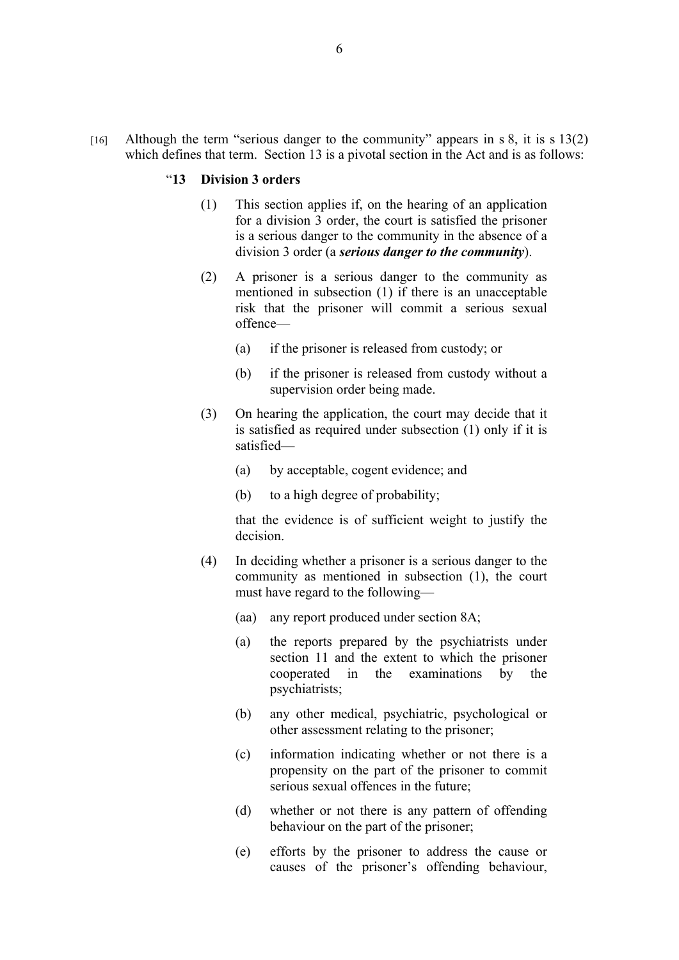[16] Although the term "serious danger to the community" appears in s 8, it is s 13(2) which defines that term. Section 13 is a pivotal section in the Act and is as follows:

#### "**13 Division 3 orders**

- (1) This section applies if, on the hearing of an application for a division 3 order, the court is satisfied the prisoner is a serious danger to the community in the absence of a division 3 order (a *serious danger to the community*).
- (2) A prisoner is a serious danger to the community as mentioned in subsection (1) if there is an unacceptable risk that the prisoner will commit a serious sexual offence—
	- (a) if the prisoner is released from custody; or
	- (b) if the prisoner is released from custody without a supervision order being made.
- (3) On hearing the application, the court may decide that it is satisfied as required under subsection (1) only if it is satisfied—
	- (a) by acceptable, cogent evidence; and
	- (b) to a high degree of probability;

that the evidence is of sufficient weight to justify the decision.

- (4) In deciding whether a prisoner is a serious danger to the community as mentioned in subsection (1), the court must have regard to the following—
	- (aa) any report produced under section 8A;
	- (a) the reports prepared by the psychiatrists under section 11 and the extent to which the prisoner cooperated in the examinations by the psychiatrists;
	- (b) any other medical, psychiatric, psychological or other assessment relating to the prisoner;
	- (c) information indicating whether or not there is a propensity on the part of the prisoner to commit serious sexual offences in the future;
	- (d) whether or not there is any pattern of offending behaviour on the part of the prisoner;
	- (e) efforts by the prisoner to address the cause or causes of the prisoner's offending behaviour,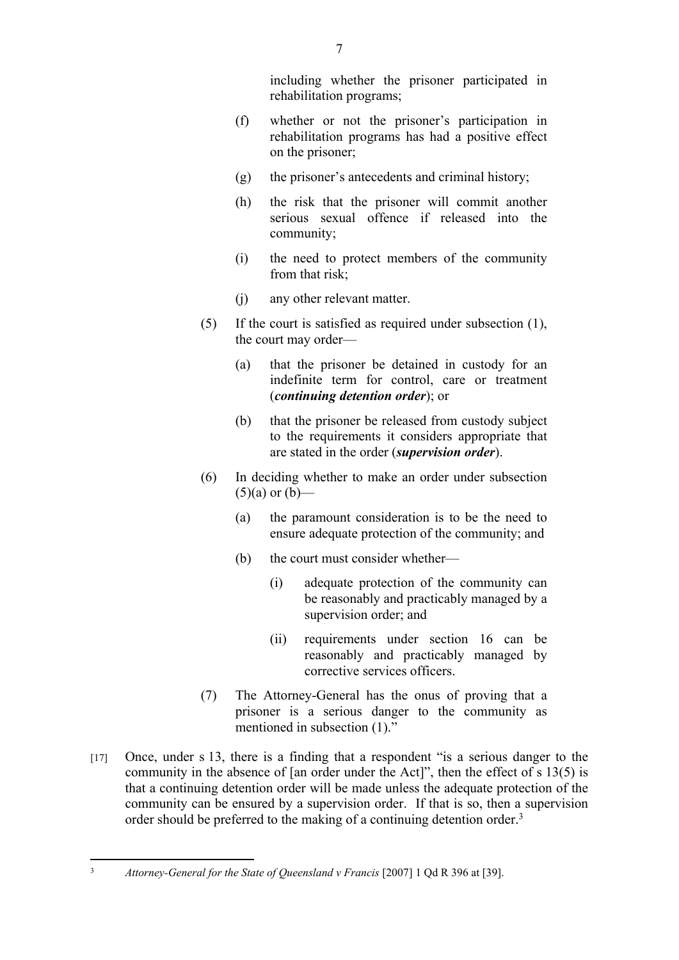including whether the prisoner participated in rehabilitation programs;

- (f) whether or not the prisoner's participation in rehabilitation programs has had a positive effect on the prisoner;
- (g) the prisoner's antecedents and criminal history;
- (h) the risk that the prisoner will commit another serious sexual offence if released into the community;
- (i) the need to protect members of the community from that risk;
- (j) any other relevant matter.
- (5) If the court is satisfied as required under subsection (1), the court may order—
	- (a) that the prisoner be detained in custody for an indefinite term for control, care or treatment (*continuing detention order*); or
	- (b) that the prisoner be released from custody subject to the requirements it considers appropriate that are stated in the order (*supervision order*).
- (6) In deciding whether to make an order under subsection  $(5)(a)$  or  $(b)$ —
	- (a) the paramount consideration is to be the need to ensure adequate protection of the community; and
	- (b) the court must consider whether—
		- (i) adequate protection of the community can be reasonably and practicably managed by a supervision order; and
		- (ii) requirements under section 16 can be reasonably and practicably managed by corrective services officers.
- (7) The Attorney-General has the onus of proving that a prisoner is a serious danger to the community as mentioned in subsection (1)."
- [17] Once, under s 13, there is a finding that a respondent "is a serious danger to the community in the absence of [an order under the Act]", then the effect of s 13(5) is that a continuing detention order will be made unless the adequate protection of the community can be ensured by a supervision order. If that is so, then a supervision order should be preferred to the making of a continuing detention order.<sup>3</sup>

<sup>3</sup> *Attorney-General for the State of Queensland v Francis* [2007] 1 Qd R 396 at [39].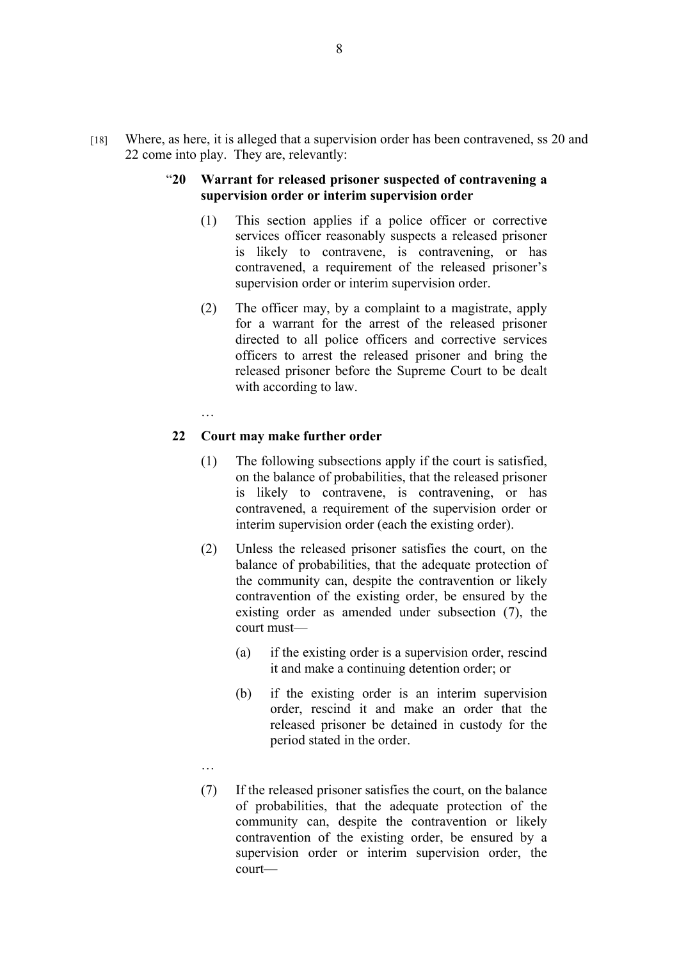- [18] Where, as here, it is alleged that a supervision order has been contravened, ss 20 and 22 come into play. They are, relevantly:
	- "**20 Warrant for released prisoner suspected of contravening a supervision order or interim supervision order**
		- (1) This section applies if a police officer or corrective services officer reasonably suspects a released prisoner is likely to contravene, is contravening, or has contravened, a requirement of the released prisoner's supervision order or interim supervision order.
		- (2) The officer may, by a complaint to a magistrate, apply for a warrant for the arrest of the released prisoner directed to all police officers and corrective services officers to arrest the released prisoner and bring the released prisoner before the Supreme Court to be dealt with according to law.
		- …

#### **22 Court may make further order**

- (1) The following subsections apply if the court is satisfied, on the balance of probabilities, that the released prisoner is likely to contravene, is contravening, or has contravened, a requirement of the supervision order or interim supervision order (each the existing order).
- (2) Unless the released prisoner satisfies the court, on the balance of probabilities, that the adequate protection of the community can, despite the contravention or likely contravention of the existing order, be ensured by the existing order as amended under subsection (7), the court must—
	- (a) if the existing order is a supervision order, rescind it and make a continuing detention order; or
	- (b) if the existing order is an interim supervision order, rescind it and make an order that the released prisoner be detained in custody for the period stated in the order.
- …
- (7) If the released prisoner satisfies the court, on the balance of probabilities, that the adequate protection of the community can, despite the contravention or likely contravention of the existing order, be ensured by a supervision order or interim supervision order, the court—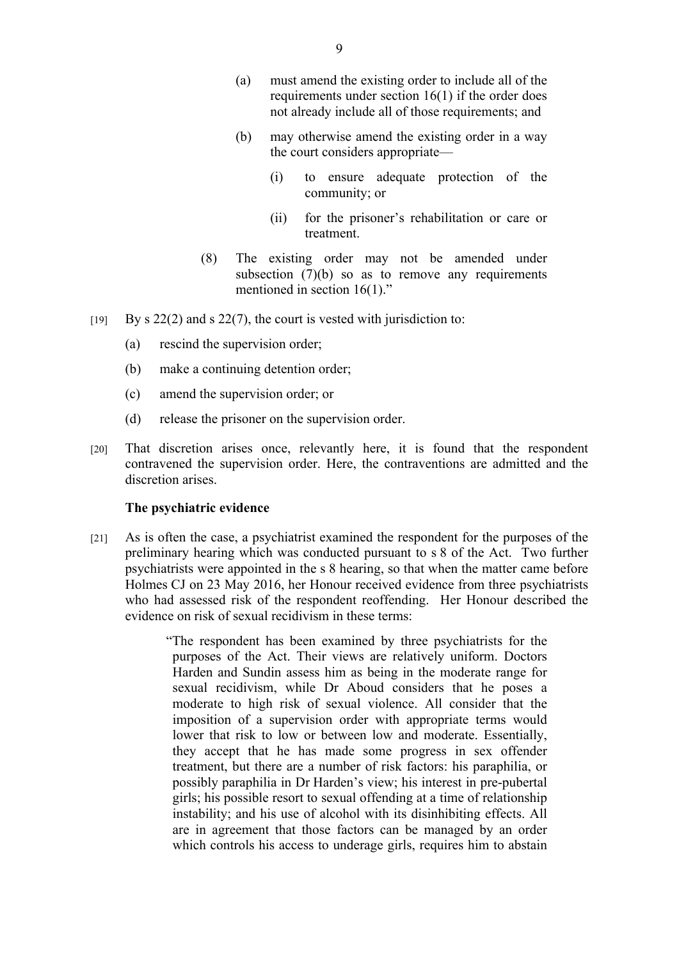- (a) must amend the existing order to include all of the requirements under section 16(1) if the order does not already include all of those requirements; and
- (b) may otherwise amend the existing order in a way the court considers appropriate—
	- (i) to ensure adequate protection of the community; or
	- (ii) for the prisoner's rehabilitation or care or treatment.
- (8) The existing order may not be amended under subsection (7)(b) so as to remove any requirements mentioned in section 16(1)."
- $[y]$  By s 22(2) and s 22(7), the court is vested with jurisdiction to:
	- (a) rescind the supervision order;
	- (b) make a continuing detention order;
	- (c) amend the supervision order; or
	- (d) release the prisoner on the supervision order.
- [20] That discretion arises once, relevantly here, it is found that the respondent contravened the supervision order. Here, the contraventions are admitted and the discretion arises.

#### **The psychiatric evidence**

- [21] As is often the case, a psychiatrist examined the respondent for the purposes of the preliminary hearing which was conducted pursuant to s 8 of the Act. Two further psychiatrists were appointed in the s 8 hearing, so that when the matter came before Holmes CJ on 23 May 2016, her Honour received evidence from three psychiatrists who had assessed risk of the respondent reoffending. Her Honour described the evidence on risk of sexual recidivism in these terms:
	- "The respondent has been examined by three psychiatrists for the purposes of the Act. Their views are relatively uniform. Doctors Harden and Sundin assess him as being in the moderate range for sexual recidivism, while Dr Aboud considers that he poses a moderate to high risk of sexual violence. All consider that the imposition of a supervision order with appropriate terms would lower that risk to low or between low and moderate. Essentially, they accept that he has made some progress in sex offender treatment, but there are a number of risk factors: his paraphilia, or possibly paraphilia in Dr Harden's view; his interest in pre-pubertal girls; his possible resort to sexual offending at a time of relationship instability; and his use of alcohol with its disinhibiting effects. All are in agreement that those factors can be managed by an order which controls his access to underage girls, requires him to abstain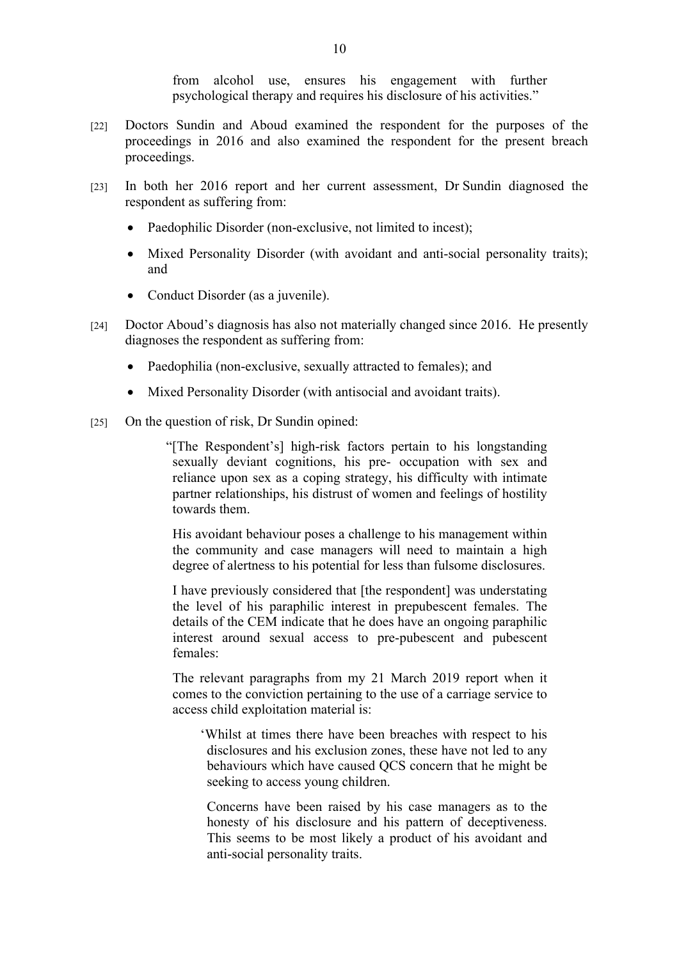from alcohol use, ensures his engagement with further psychological therapy and requires his disclosure of his activities."

- [22] Doctors Sundin and Aboud examined the respondent for the purposes of the proceedings in 2016 and also examined the respondent for the present breach proceedings.
- [23] In both her 2016 report and her current assessment, Dr Sundin diagnosed the respondent as suffering from:
	- Paedophilic Disorder (non-exclusive, not limited to incest);
	- Mixed Personality Disorder (with avoidant and anti-social personality traits); and
	- Conduct Disorder (as a juvenile).
- [24] Doctor Aboud's diagnosis has also not materially changed since 2016. He presently diagnoses the respondent as suffering from:
	- Paedophilia (non-exclusive, sexually attracted to females); and
	- Mixed Personality Disorder (with antisocial and avoidant traits).
- [25] On the question of risk, Dr Sundin opined:
	- "[The Respondent's] high-risk factors pertain to his longstanding sexually deviant cognitions, his pre- occupation with sex and reliance upon sex as a coping strategy, his difficulty with intimate partner relationships, his distrust of women and feelings of hostility towards them.

His avoidant behaviour poses a challenge to his management within the community and case managers will need to maintain a high degree of alertness to his potential for less than fulsome disclosures.

I have previously considered that [the respondent] was understating the level of his paraphilic interest in prepubescent females. The details of the CEM indicate that he does have an ongoing paraphilic interest around sexual access to pre-pubescent and pubescent females:

The relevant paragraphs from my 21 March 2019 report when it comes to the conviction pertaining to the use of a carriage service to access child exploitation material is:

'Whilst at times there have been breaches with respect to his disclosures and his exclusion zones, these have not led to any behaviours which have caused QCS concern that he might be seeking to access young children.

Concerns have been raised by his case managers as to the honesty of his disclosure and his pattern of deceptiveness. This seems to be most likely a product of his avoidant and anti-social personality traits.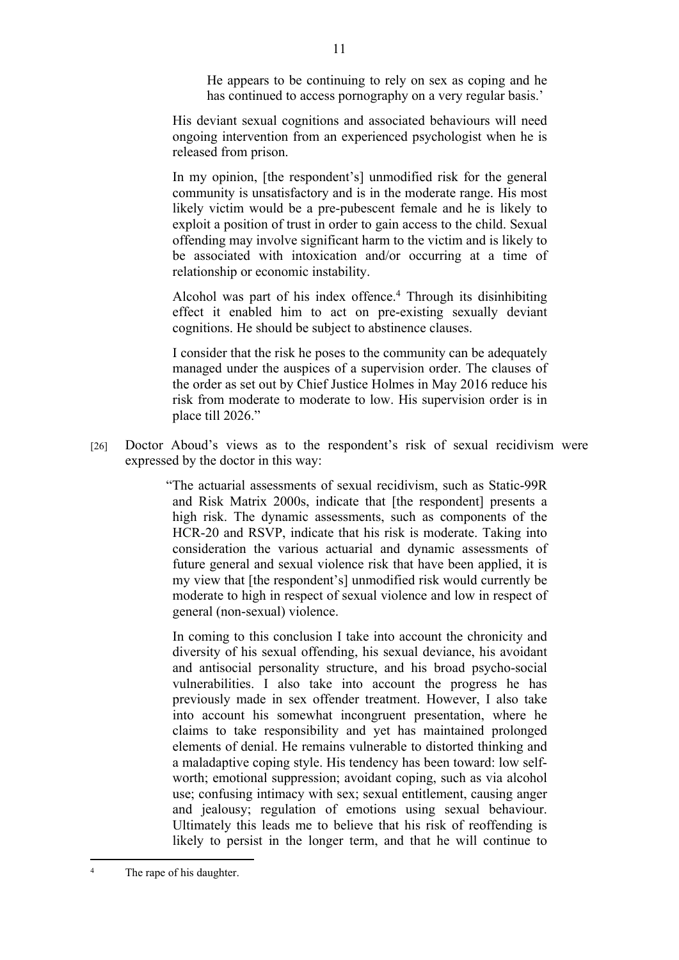He appears to be continuing to rely on sex as coping and he has continued to access pornography on a very regular basis.'

His deviant sexual cognitions and associated behaviours will need ongoing intervention from an experienced psychologist when he is released from prison.

In my opinion, [the respondent's] unmodified risk for the general community is unsatisfactory and is in the moderate range. His most likely victim would be a pre-pubescent female and he is likely to exploit a position of trust in order to gain access to the child. Sexual offending may involve significant harm to the victim and is likely to be associated with intoxication and/or occurring at a time of relationship or economic instability.

Alcohol was part of his index offence.<sup>4</sup> Through its disinhibiting effect it enabled him to act on pre-existing sexually deviant cognitions. He should be subject to abstinence clauses.

I consider that the risk he poses to the community can be adequately managed under the auspices of a supervision order. The clauses of the order as set out by Chief Justice Holmes in May 2016 reduce his risk from moderate to moderate to low. His supervision order is in place till 2026."

[26] Doctor Aboud's views as to the respondent's risk of sexual recidivism were expressed by the doctor in this way:

> "The actuarial assessments of sexual recidivism, such as Static-99R and Risk Matrix 2000s, indicate that [the respondent] presents a high risk. The dynamic assessments, such as components of the HCR-20 and RSVP, indicate that his risk is moderate. Taking into consideration the various actuarial and dynamic assessments of future general and sexual violence risk that have been applied, it is my view that [the respondent's] unmodified risk would currently be moderate to high in respect of sexual violence and low in respect of general (non-sexual) violence.

In coming to this conclusion I take into account the chronicity and diversity of his sexual offending, his sexual deviance, his avoidant and antisocial personality structure, and his broad psycho-social vulnerabilities. I also take into account the progress he has previously made in sex offender treatment. However, I also take into account his somewhat incongruent presentation, where he claims to take responsibility and yet has maintained prolonged elements of denial. He remains vulnerable to distorted thinking and a maladaptive coping style. His tendency has been toward: low selfworth; emotional suppression; avoidant coping, such as via alcohol use; confusing intimacy with sex; sexual entitlement, causing anger and jealousy; regulation of emotions using sexual behaviour. Ultimately this leads me to believe that his risk of reoffending is likely to persist in the longer term, and that he will continue to

<sup>4</sup> The rape of his daughter.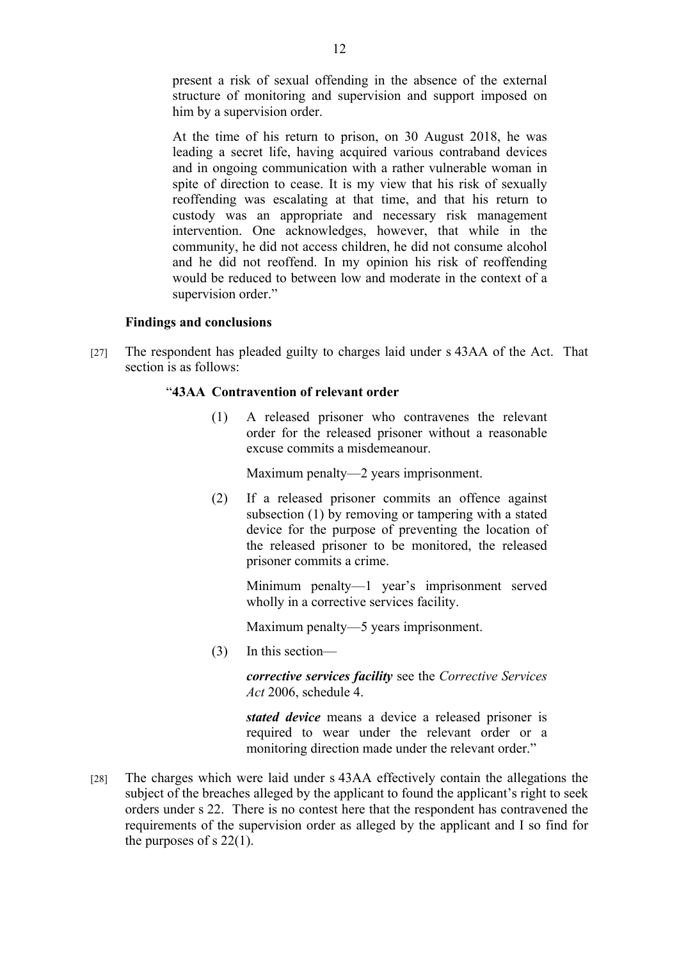present a risk of sexual offending in the absence of the external structure of monitoring and supervision and support imposed on him by a supervision order.

At the time of his return to prison, on 30 August 2018, he was leading a secret life, having acquired various contraband devices and in ongoing communication with a rather vulnerable woman in spite of direction to cease. It is my view that his risk of sexually reoffending was escalating at that time, and that his return to custody was an appropriate and necessary risk management intervention. One acknowledges, however, that while in the community, he did not access children, he did not consume alcohol and he did not reoffend. In my opinion his risk of reoffending would be reduced to between low and moderate in the context of a supervision order."

#### **Findings and conclusions**

[27] The respondent has pleaded guilty to charges laid under s 43AA of the Act. That section is as follows:

# "**43AA Contravention of relevant order**

(1) A released prisoner who contravenes the relevant order for the released prisoner without a reasonable excuse commits a misdemeanour.

Maximum penalty—2 years imprisonment.

(2) If a released prisoner commits an offence against subsection (1) by removing or tampering with a stated device for the purpose of preventing the location of the released prisoner to be monitored, the released prisoner commits a crime.

Minimum penalty—1 year's imprisonment served wholly in a corrective services facility.

Maximum penalty—5 years imprisonment.

(3) In this section—

*corrective services facility* see the *Corrective Services Act* 2006, schedule 4.

*stated device* means a device a released prisoner is required to wear under the relevant order or a monitoring direction made under the relevant order."

[28] The charges which were laid under s 43AA effectively contain the allegations the subject of the breaches alleged by the applicant to found the applicant's right to seek orders under s 22. There is no contest here that the respondent has contravened the requirements of the supervision order as alleged by the applicant and I so find for the purposes of s 22(1).